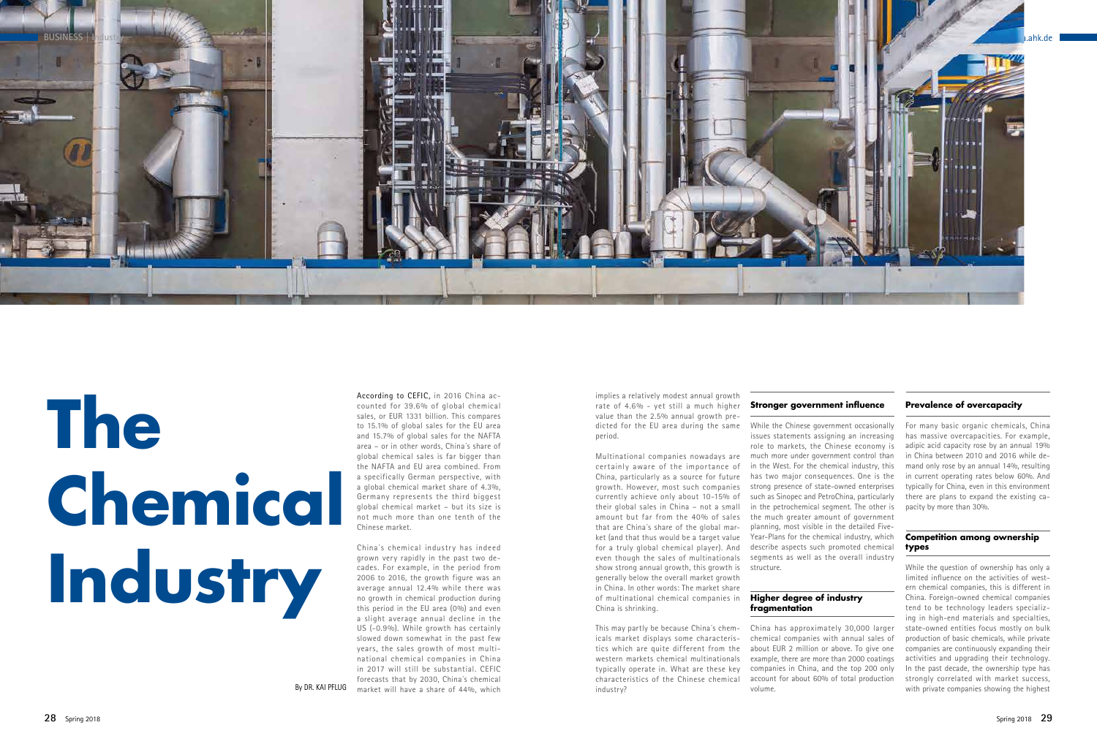# **The Chemical Industry**

China´s chemical industry has indeed grown very rapidly in the past two decades. For example, in the period from 2006 to 2016, the growth figure was an average annual 12.4% while there was no growth in chemical production during this period in the EU area (0%) and even a slight average annual decline in the US (-0.9%). While growth has certainly slowed down somewhat in the past few years, the sales growth of most multinational chemical companies in China in 2017 will still be substantial. CEFIC forecasts that by 2030, China´s chemical By DR. KAI PFLUG market will have a share of 44%, which

According to CEFIC, in 2016 China accounted for 39.6% of global chemical sales, or EUR 1331 billion. This compares to 15.1% of global sales for the EU area and 15.7% of global sales for the NAFTA area – or in other words, China´s share of global chemical sales is far bigger than the NAFTA and EU area combined. From a specifically German perspective, with a global chemical market share of 4.3%, Germany represents the third biggest global chemical market – but its size is not much more than one tenth of the Chinese market.

implies a relatively modest annual growth rate of 4.6% - yet still a much higher value than the 2.5% annual growth preperiod.

Multinational companies nowadays are certainly aware of the importance of China, particularly as a source for future currently achieve only about 10-15% of their global sales in China – not a small that are China´s share of the global market (and that thus would be a target value show strong annual growth, this growth is structure. generally below the overall market growth in China. In other words: The market share of multinational chemical companies in **Higher degree of industry**  China is shrinking.

dicted for the EU area during the same While the Chinese government occasionally growth. However, most such companies strong presence of state-owned enterprises amount but far from the 40% of sales the much greater amount of government for a truly global chemical player). And describe aspects such promoted chemical even though the sales of multinationals segments as well as the overall industry issues statements assigning an increasing role to markets, the Chinese economy is much more under government control than in the West. For the chemical industry, this has two major consequences. One is the such as Sinopec and PetroChina, particularly in the petrochemical segment. The other is planning, most visible in the detailed Five-Year-Plans for the chemical industry, which



This may partly be because China´s chemicals market displays some characteristics which are quite different from the western markets chemical multinationals typically operate in. What are these key industry?

#### **Stronger government influence**

characteristics of the Chinese chemical account for about 60% of total production China has approximately 30,000 larger chemical companies with annual sales of about EUR 2 million or above. To give one example, there are more than 2000 coatings companies in China, and the top 200 only volume.

## **fragmentation**

#### **Prevalence of overcapacity**

For many basic organic chemicals, China has massive overcapacities. For example, adipic acid capacity rose by an annual 19% in China between 2010 and 2016 while demand only rose by an annual 14%, resulting in current operating rates below 60%. And typically for China, even in this environment there are plans to expand the existing capacity by more than 30%.

#### **Competition among ownership types**

While the question of ownership has only a limited influence on the activities of western chemical companies, this is different in China. Foreign-owned chemical companies tend to be technology leaders specializing in high-end materials and specialties, state-owned entities focus mostly on bulk production of basic chemicals, while private companies are continuously expanding their activities and upgrading their technology. In the past decade, the ownership type has strongly correlated with market success, with private companies showing the highest